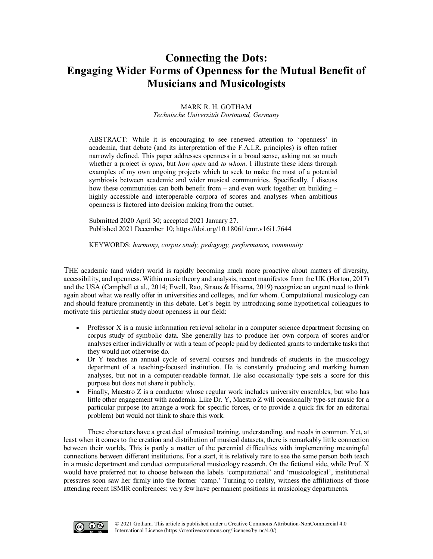# **Connecting the Dots: Engaging Wider Forms of Openness for the Mutual Benefit of Musicians and Musicologists**

### MARK R. H. GOTHAM *Technische Universität Dortmund, Germany*

ABSTRACT: While it is encouraging to see renewed attention to 'openness' in academia, that debate (and its interpretation of the F.A.I.R. principles) is often rather narrowly defined. This paper addresses openness in a broad sense, asking not so much whether a project *is open*, but *how open* and *to whom*. I illustrate these ideas through examples of my own ongoing projects which to seek to make the most of a potential symbiosis between academic and wider musical communities. Specifically, I discuss how these communities can both benefit from – and even work together on building – highly accessible and interoperable corpora of scores and analyses when ambitious openness is factored into decision making from the outset.

Submitted 2020 April 30; accepted 2021 January 27. Published 2021 Decembe[r 10; https://doi.org/10.18061/emr.v16i1.764](https://doi.org/10.18061/emr.v16i1.7644)4

KEYWORDS: *harmony, corpus study, pedagogy, performance, community*

THE academic (and wider) world is rapidly becoming much more proactive about matters of diversity, accessibility, and openness. Within music theory and analysis, recent manifestos from the UK (Horton, 2017) and the USA (Campbell et al., 2014; Ewell, Rao, Straus & Hisama, 2019) recognize an urgent need to think again about what we really offer in universities and colleges, and for whom. Computational musicology can and should feature prominently in this debate. Let's begin by introducing some hypothetical colleagues to motivate this particular study about openness in our field:

- Professor X is a music information retrieval scholar in a computer science department focusing on corpus study of symbolic data. She generally has to produce her own corpora of scores and/or analyses either individually or with a team of people paid by dedicated grants to undertake tasks that they would not otherwise do.
- Dr Y teaches an annual cycle of several courses and hundreds of students in the musicology department of a teaching-focused institution. He is constantly producing and marking human analyses, but not in a computer-readable format. He also occasionally type-sets a score for this purpose but does not share it publicly.
- Finally, Maestro Z is a conductor whose regular work includes university ensembles, but who has little other engagement with academia. Like Dr. Y, Maestro Z will occasionally type-set music for a particular purpose (to arrange a work for specific forces, or to provide a quick fix for an editorial problem) but would not think to share this work.

These characters have a great deal of musical training, understanding, and needs in common. Yet, at least when it comes to the creation and distribution of musical datasets, there is remarkably little connection between their worlds. This is partly a matter of the perennial difficulties with implementing meaningful connections between different institutions. For a start, it is relatively rare to see the same person both teach in a music department and conduct computational musicology research. On the fictional side, while Prof. X would have preferred not to choose between the labels 'computational' and 'musicological', institutional pressures soon saw her firmly into the former 'camp.' Turning to reality, witness the affiliations of those attending recent ISMIR conferences: very few have permanent positions in musicology departments.

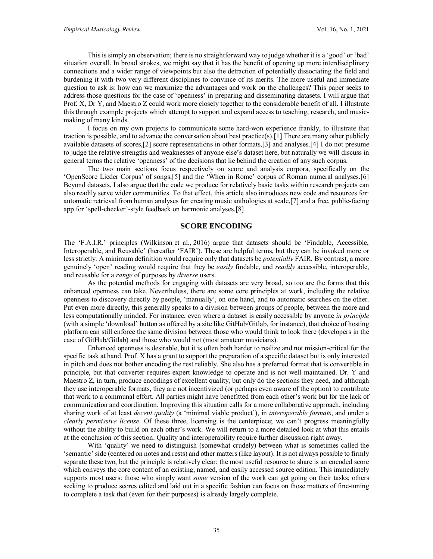This is simply an observation; there is no straightforward way to judge whether it is a 'good' or 'bad' situation overall. In broad strokes, we might say that it has the benefit of opening up more interdisciplinary connections and a wider range of viewpoints but also the detraction of potentially dissociating the field and burdening it with two very different disciplines to convince of its merits. The more useful and immediate question to ask is: how can we maximize the advantages and work on the challenges? This paper seeks to address those questions for the case of 'openness' in preparing and disseminating datasets. I will argue that Prof. X, Dr Y, and Maestro Z could work more closely together to the considerable benefit of all. I illustrate this through example projects which attempt to support and expand access to teaching, research, and musicmaking of many kinds.

I focus on my own projects to communicate some hard-won experience frankly, to illustrate that traction is possible, and to advance the conversation about best practice(s).[1] There are many other publicly available datasets of scores,[2] score representations in other formats,[3] and analyses.[4] I do not presume to judge the relative strengths and weaknesses of anyone else's dataset here, but naturally we will discuss in general terms the relative 'openness' of the decisions that lie behind the creation of any such corpus.

The two main sections focus respectively on score and analysis corpora, specifically on the 'OpenScore Lieder Corpus' of songs,[5] and the 'When in Rome' corpus of Roman numeral analyses.[6] Beyond datasets, I also argue that the code we produce for relatively basic tasks within research projects can also readily serve wider communities. To that effect, this article also introduces new code and resources for: automatic retrieval from human analyses for creating music anthologies at scale,[7] and a free, public-facing app for 'spell-checker'-style feedback on harmonic analyses.[8]

### **SCORE ENCODING**

The 'F.A.I.R.' principles (Wilkinson et al., 2016) argue that datasets should be 'Findable, Accessible, Interoperable, and Reusable' (hereafter 'FAIR'). These are helpful terms, but they can be invoked more or less strictly. A minimum definition would require only that datasets be *potentially* FAIR. By contrast, a more genuinely 'open' reading would require that they be *easily* findable, and *readily* accessible, interoperable, and reusable for a *range* of purposes by *diverse* users.

As the potential methods for engaging with datasets are very broad, so too are the forms that this enhanced openness can take. Nevertheless, there are some core principles at work, including the relative openness to discovery directly by people, 'manually', on one hand, and to automatic searches on the other. Put even more directly, this generally speaks to a division between groups of people, between the more and less computationally minded. For instance, even where a dataset is easily accessible by anyone *in principle* (with a simple 'download' button as offered by a site like GitHub/Gitlab, for instance), that choice of hosting platform can still enforce the same division between those who would think to look there (developers in the case of GitHub/Gitlab) and those who would not (most amateur musicians).

Enhanced openness is desirable, but it is often both harder to realize and not mission-critical for the specific task at hand. Prof. X has a grant to support the preparation of a specific dataset but is only interested in pitch and does not bother encoding the rest reliably. She also has a preferred format that is convertible in principle, but that converter requires expert knowledge to operate and is not well maintained. Dr. Y and Maestro Z, in turn, produce encodings of excellent quality, but only do the sections they need, and although they use interoperable formats, they are not incentivized (or perhaps even aware of the option) to contribute that work to a communal effort. All parties might have benefitted from each other's work but for the lack of communication and coordination. Improving this situation calls for a more collaborative approach, including sharing work of at least *decent quality* (a 'minimal viable product'), in *interoperable formats*, and under a *clearly permissive license*. Of these three, licensing is the centerpiece; we can't progress meaningfully without the ability to build on each other's work. We will return to a more detailed look at what this entails at the conclusion of this section. Quality and interoperability require further discussion right away.

With 'quality' we need to distinguish (somewhat crudely) between what is sometimes called the 'semantic' side (centered on notes and rests) and other matters (like layout). It is not always possible to firmly separate these two, but the principle is relatively clear: the most useful resource to share is an encoded score which conveys the core content of an existing, named, and easily accessed source edition. This immediately supports most users: those who simply want *some* version of the work can get going on their tasks; others seeking to produce scores edited and laid out in a specific fashion can focus on those matters of fine-tuning to complete a task that (even for their purposes) is already largely complete.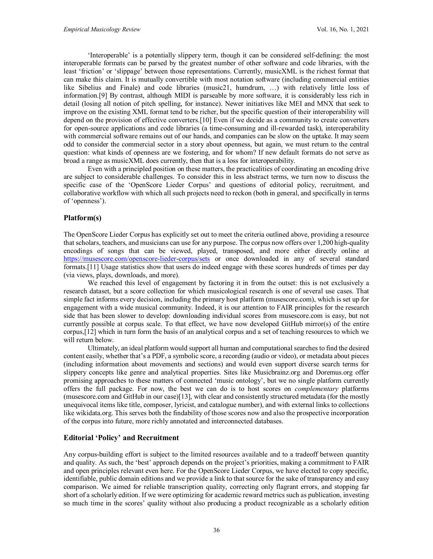'Interoperable' is a potentially slippery term, though it can be considered self-defining: the most interoperable formats can be parsed by the greatest number of other software and code libraries, with the least 'friction' or 'slippage' between those representations. Currently, musicXML is the richest format that can make this claim. It is mutually convertible with most notation software (including commercial entities like Sibelius and Finale) and code libraries (music21, humdrum, …) with relatively little loss of information.[9] By contrast, although MIDI is parseable by more software, it is considerably less rich in detail (losing all notion of pitch spelling, for instance). Newer initiatives like MEI and MNX that seek to improve on the existing XML format tend to be richer, but the specific question of their interoperability will depend on the provision of effective converters.[10] Even if we decide as a community to create converters for open-source applications and code libraries (a time-consuming and ill-rewarded task), interoperability with commercial software remains out of our hands, and companies can be slow on the uptake. It may seem odd to consider the commercial sector in a story about openness, but again, we must return to the central question: what kinds of openness are we fostering, and for whom? If new default formats do not serve as broad a range as musicXML does currently, then that is a loss for interoperability.

Even with a principled position on these matters, the practicalities of coordinating an encoding drive are subject to considerable challenges. To consider this in less abstract terms, we turn now to discuss the specific case of the 'OpenScore Lieder Corpus' and questions of editorial policy, recruitment, and collaborative workflow with which all such projects need to reckon (both in general, and specifically in terms of 'openness').

### **Platform(s)**

The OpenScore Lieder Corpus has explicitly set out to meet the criteria outlined above, providing a resource that scholars, teachers, and musicians can use for any purpose. The corpus now offers over 1,200 high-quality encodings of songs that can be viewed, played, transposed, and more either directly online at <https://musescore.com/openscore-lieder-corpus/sets> or once downloaded in any of several standard formats.[11] Usage statistics show that users do indeed engage with these scores hundreds of times per day (via views, plays, downloads, and more).

We reached this level of engagement by factoring it in from the outset: this is not exclusively a research dataset, but a score collection for which musicological research is one of several use cases. That simple fact informs every decision, including the primary host platform (musescore.com), which is set up for engagement with a wide musical community. Indeed, it is our attention to FAIR principles for the research side that has been slower to develop: downloading individual scores from musescore.com is easy, but not currently possible at corpus scale. To that effect, we have now developed GitHub mirror(s) of the entire corpus,[12] which in turn form the basis of an analytical corpus and a set of teaching resources to which we will return below.

Ultimately, an ideal platform would support all human and computational searches to find the desired content easily, whether that's a PDF, a symbolic score, a recording (audio or video), or metadata about pieces (including information about movements and sections) and would even support diverse search terms for slippery concepts like genre and analytical properties. Sites like Musicbrainz.org and Doremus.org offer promising approaches to these matters of connected 'music ontology', but we no single platform currently offers the full package. For now, the best we can do is to host scores on *complementary* platforms (musescore.com and GitHub in our case)[13], with clear and consistently structured metadata (for the mostly unequivocal items like title, composer, lyricist, and catalogue number), and with external links to collections like wikidata.org. This serves both the findability of those scores now and also the prospective incorporation of the corpus into future, more richly annotated and interconnected databases.

### **Editorial 'Policy' and Recruitment**

Any corpus-building effort is subject to the limited resources available and to a tradeoff between quantity and quality. As such, the 'best' approach depends on the project's priorities, making a commitment to FAIR and open principles relevant even here. For the OpenScore Lieder Corpus, we have elected to copy specific, identifiable, public domain editions and we provide a link to that source for the sake of transparency and easy comparison. We aimed for reliable transcription quality, correcting only flagrant errors, and stopping far short of a scholarly edition. If we were optimizing for academic reward metrics such as publication, investing so much time in the scores' quality without also producing a product recognizable as a scholarly edition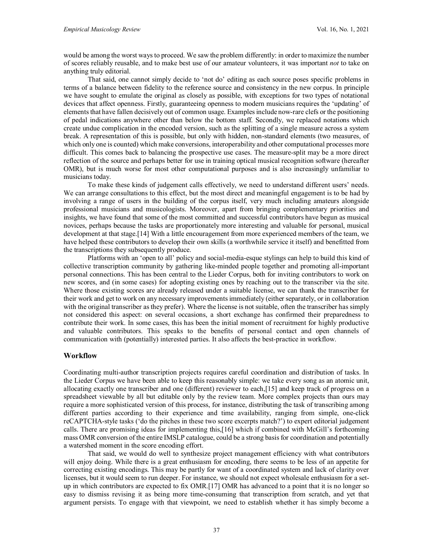would be among the worst ways to proceed. We saw the problem differently: in order to maximize the number of scores reliably reusable, and to make best use of our amateur volunteers, it was important *not* to take on anything truly editorial.

That said, one cannot simply decide to 'not do' editing as each source poses specific problems in terms of a balance between fidelity to the reference source and consistency in the new corpus. In principle we have sought to emulate the original as closely as possible, with exceptions for two types of notational devices that affect openness. Firstly, guaranteeing openness to modern musicians requires the 'updating' of elements that have fallen decisively out of common usage. Examples include now-rare clefs or the positioning of pedal indications anywhere other than below the bottom staff. Secondly, we replaced notations which create undue complication in the encoded version, such as the splitting of a single measure across a system break. A representation of this is possible, but only with hidden, non-standard elements (two measures, of which only one is counted) which make conversions, interoperability and other computational processes more difficult. This comes back to balancing the prospective use cases. The measure-split may be a more direct reflection of the source and perhaps better for use in training optical musical recognition software (hereafter OMR), but is much worse for most other computational purposes and is also increasingly unfamiliar to musicians today.

To make these kinds of judgement calls effectively, we need to understand different users' needs. We can arrange consultations to this effect, but the most direct and meaningful engagement is to be had by involving a range of users in the building of the corpus itself, very much including amateurs alongside professional musicians and musicologists. Moreover, apart from bringing complementary priorities and insights, we have found that some of the most committed and successful contributors have begun as musical novices, perhaps because the tasks are proportionately more interesting and valuable for personal, musical development at that stage.[14] With a little encouragement from more experienced members of the team, we have helped these contributors to develop their own skills (a worthwhile service it itself) and benefitted from the transcriptions they subsequently produce.

Platforms with an 'open to all' policy and social-media-esque stylings can help to build this kind of collective transcription community by gathering like-minded people together and promoting all-important personal connections. This has been central to the Lieder Corpus, both for inviting contributors to work on new scores, and (in some cases) for adopting existing ones by reaching out to the transcriber via the site. Where those existing scores are already released under a suitable license, we can thank the transcriber for their work and get to work on any necessary improvements immediately (either separately, or in collaboration with the original transcriber as they prefer). Where the license is not suitable, often the transcriber has simply not considered this aspect: on several occasions, a short exchange has confirmed their preparedness to contribute their work. In some cases, this has been the initial moment of recruitment for highly productive and valuable contributors. This speaks to the benefits of personal contact and open channels of communication with (potentially) interested parties. It also affects the best-practice in workflow.

### **Workflow**

Coordinating multi-author transcription projects requires careful coordination and distribution of tasks. In the Lieder Corpus we have been able to keep this reasonably simple: we take every song as an atomic unit, allocating exactly one transcriber and one (different) reviewer to each,[15] and keep track of progress on a spreadsheet viewable by all but editable only by the review team. More complex projects than ours may require a more sophisticated version of this process, for instance, distributing the task of transcribing among different parties according to their experience and time availability, ranging from simple, one-click reCAPTCHA-style tasks ('do the pitches in these two score excerpts match?') to expert editorial judgement calls. There are promising ideas for implementing this,[16] which if combined with McGill's forthcoming mass OMR conversion of the entire IMSLP catalogue, could be a strong basis for coordination and potentially a watershed moment in the score encoding effort.

That said, we would do well to synthesize project management efficiency with what contributors will enjoy doing. While there is a great enthusiasm for encoding, there seems to be less of an appetite for correcting existing encodings. This may be partly for want of a coordinated system and lack of clarity over licenses, but it would seem to run deeper. For instance, we should not expect wholesale enthusiasm for a setup in which contributors are expected to fix OMR.[17] OMR has advanced to a point that it is no longer so easy to dismiss revising it as being more time-consuming that transcription from scratch, and yet that argument persists. To engage with that viewpoint, we need to establish whether it has simply become a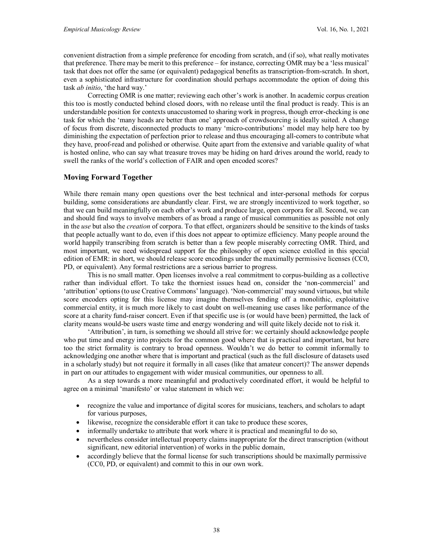convenient distraction from a simple preference for encoding from scratch, and (if so), what really motivates that preference. There may be merit to this preference – for instance, correcting OMR may be a 'less musical' task that does not offer the same (or equivalent) pedagogical benefits as transcription-from-scratch. In short, even a sophisticated infrastructure for coordination should perhaps accommodate the option of doing this task *ab initio*, 'the hard way.'

Correcting OMR is one matter; reviewing each other's work is another. In academic corpus creation this too is mostly conducted behind closed doors, with no release until the final product is ready. This is an understandable position for contexts unaccustomed to sharing work in progress, though error-checking is one task for which the 'many heads are better than one' approach of crowdsourcing is ideally suited. A change of focus from discrete, disconnected products to many 'micro-contributions' model may help here too by diminishing the expectation of perfection prior to release and thus encouraging all-comers to contribute what they have, proof-read and polished or otherwise. Quite apart from the extensive and variable quality of what is hosted online, who can say what treasure troves may be hiding on hard drives around the world, ready to swell the ranks of the world's collection of FAIR and open encoded scores?

### **Moving Forward Together**

While there remain many open questions over the best technical and inter-personal methods for corpus building, some considerations are abundantly clear. First, we are strongly incentivized to work together, so that we can build meaningfully on each other's work and produce large, open corpora for all. Second, we can and should find ways to involve members of as broad a range of musical communities as possible not only in the *use* but also the *creation* of corpora. To that effect, organizers should be sensitive to the kinds of tasks that people actually want to do, even if this does not appear to optimize efficiency. Many people around the world happily transcribing from scratch is better than a few people miserably correcting OMR. Third, and most important, we need widespread support for the philosophy of open science extolled in this special edition of EMR: in short, we should release score encodings under the maximally permissive licenses (CC0, PD, or equivalent). Any formal restrictions are a serious barrier to progress.

This is no small matter. Open licenses involve a real commitment to corpus-building as a collective rather than individual effort. To take the thorniest issues head on, consider the 'non-commercial' and 'attribution' options (to use Creative Commons' language). 'Non-commercial' may sound virtuous, but while score encoders opting for this license may imagine themselves fending off a monolithic, exploitative commercial entity, it is much more likely to cast doubt on well-meaning use cases like performance of the score at a charity fund-raiser concert. Even if that specific use is (or would have been) permitted, the lack of clarity means would-be users waste time and energy wondering and will quite likely decide not to risk it.

'Attribution', in turn, is something we should all strive for: we certainly should acknowledge people who put time and energy into projects for the common good where that is practical and important, but here too the strict formality is contrary to broad openness. Wouldn't we do better to commit informally to acknowledging one another where that is important and practical (such as the full disclosure of datasets used in a scholarly study) but not require it formally in all cases (like that amateur concert)? The answer depends in part on our attitudes to engagement with wider musical communities, our openness to all.

As a step towards a more meaningful and productively coordinated effort, it would be helpful to agree on a minimal 'manifesto' or value statement in which we:

- recognize the value and importance of digital scores for musicians, teachers, and scholars to adapt for various purposes,
- likewise, recognize the considerable effort it can take to produce these scores,
- informally undertake to attribute that work where it is practical and meaningful to do so,
- nevertheless consider intellectual property claims inappropriate for the direct transcription (without significant, new editorial intervention) of works in the public domain,
- accordingly believe that the formal license for such transcriptions should be maximally permissive (CC0, PD, or equivalent) and commit to this in our own work.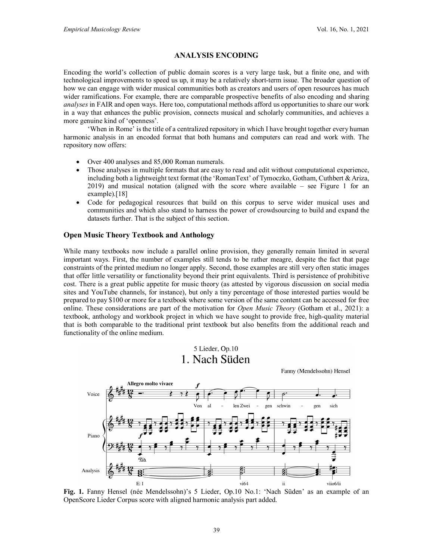Fanny (Mendelssohn) Hensel

## **ANALYSIS ENCODING**

Encoding the world's collection of public domain scores is a very large task, but a finite one, and with technological improvements to speed us up, it may be a relatively short-term issue. The broader question of how we can engage with wider musical communities both as creators and users of open resources has much wider ramifications. For example, there are comparable prospective benefits of also encoding and sharing *analyses* in FAIR and open ways. Here too, computational methods afford us opportunities to share our work in a way that enhances the public provision, connects musical and scholarly communities, and achieves a more genuine kind of 'openness'.

'When in Rome' is the title of a centralized repository in which I have brought together every human harmonic analysis in an encoded format that both humans and computers can read and work with. The repository now offers:

- Over 400 analyses and 85,000 Roman numerals.
- Those analyses in multiple formats that are easy to read and edit without computational experience, including both a lightweight text format (the 'RomanText' of Tymoczko, Gotham, Cuthbert & Ariza, 2019) and musical notation (aligned with the score where available – see Figure 1 for an example).[18]
- Code for pedagogical resources that build on this corpus to serve wider musical uses and communities and which also stand to harness the power of crowdsourcing to build and expand the datasets further. That is the subject of this section.

### **Open Music Theory Textbook and Anthology**

While many textbooks now include a parallel online provision, they generally remain limited in several important ways. First, the number of examples still tends to be rather meagre, despite the fact that page constraints of the printed medium no longer apply. Second, those examples are still very often static images that offer little versatility or functionality beyond their print equivalents. Third is persistence of prohibitive cost. There is a great public appetite for music theory (as attested by vigorous discussion on social media sites and YouTube channels, for instance), but only a tiny percentage of those interested parties would be prepared to pay \$100 or more for a textbook where some version of the same content can be accessed for free online. These considerations are part of the motivation for *Open Music Theory* (Gotham et al., 2021): a textbook, anthology and workbook project in which we have sought to provide free, high-quality material that is both comparable to the traditional print textbook but also benefits from the additional reach and functionality of the online medium.

# 5 Lieder, Op.10 1. Nach Süden



**Fig. 1.** Fanny Hensel (née Mendelssohn)'s 5 Lieder, Op.10 No.1: 'Nach Süden' as an example of an OpenScore Lieder Corpus score with aligned harmonic analysis part added.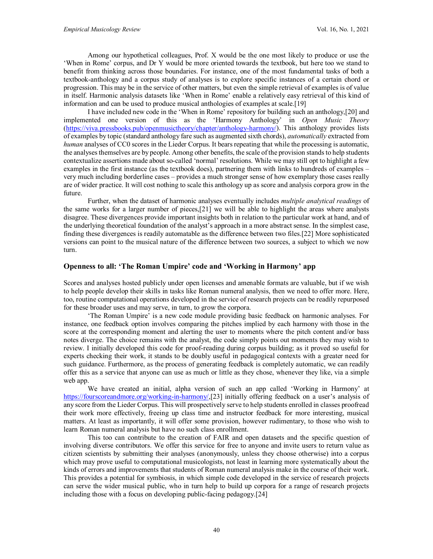Among our hypothetical colleagues, Prof. X would be the one most likely to produce or use the 'When in Rome' corpus, and Dr Y would be more oriented towards the textbook, but here too we stand to benefit from thinking across those boundaries. For instance, one of the most fundamental tasks of both a textbook-anthology and a corpus study of analyses is to explore specific instances of a certain chord or progression. This may be in the service of other matters, but even the simple retrieval of examples is of value in itself. Harmonic analysis datasets like 'When in Rome' enable a relatively easy retrieval of this kind of information and can be used to produce musical anthologies of examples at scale.[19]

I have included new code in the 'When in Rome' repository for building such an anthology,[20] and implemented one version of this as the 'Harmony Anthology' in *Open Music Theory* [\(https://viva.pressbooks.pub/openmusictheory/chapter/anthology-harmony/\)](https://viva.pressbooks.pub/openmusictheory/chapter/anthology-harmony/). This anthology provides lists of examples by topic (standard anthology fare such as augmented sixth chords), *automatically* extracted from *human* analyses of CC0 scores in the Lieder Corpus. It bears repeating that while the processing is automatic, the analyses themselves are by people. Among other benefits, the scale of the provision stands to help students contextualize assertions made about so-called 'normal' resolutions. While we may still opt to highlight a few examples in the first instance (as the textbook does), partnering them with links to hundreds of examples – very much including borderline cases – provides a much stronger sense of how exemplary those cases really are of wider practice. It will cost nothing to scale this anthology up as score and analysis corpora grow in the future.

Further, when the dataset of harmonic analyses eventually includes *multiple analytical readings* of the same works for a larger number of pieces,[21] we will be able to highlight the areas where analysts disagree. These divergences provide important insights both in relation to the particular work at hand, and of the underlying theoretical foundation of the analyst's approach in a more abstract sense. In the simplest case, finding these divergences is readily automatable as the difference between two files.[22] More sophisticated versions can point to the musical nature of the difference between two sources, a subject to which we now turn.

### **Openness to all: 'The Roman Umpire' code and 'Working in Harmony' app**

Scores and analyses hosted publicly under open licenses and amenable formats are valuable, but if we wish to help people develop their skills in tasks like Roman numeral analysis, then we need to offer more. Here, too, routine computational operations developed in the service of research projects can be readily repurposed for these broader uses and may serve, in turn, to grow the corpora.

'The Roman Umpire' is a new code module providing basic feedback on harmonic analyses. For instance, one feedback option involves comparing the pitches implied by each harmony with those in the score at the corresponding moment and alerting the user to moments where the pitch content and/or bass notes diverge. The choice remains with the analyst, the code simply points out moments they may wish to review. I initially developed this code for proof-reading during corpus building; as it proved so useful for experts checking their work, it stands to be doubly useful in pedagogical contexts with a greater need for such guidance. Furthermore, as the process of generating feedback is completely automatic, we can readily offer this as a service that anyone can use as much or little as they chose, whenever they like, via a simple web app.

We have created an initial, alpha version of such an app called 'Working in Harmony' at [https://fourscoreandmore.org/working-in-harmony/,](https://fourscoreandmore.org/working-in-harmony/)[23] initially offering feedback on a user's analysis of any score from the Lieder Corpus. This will prospectively serve to help students enrolled in classes proofread their work more effectively, freeing up class time and instructor feedback for more interesting, musical matters. At least as importantly, it will offer some provision, however rudimentary, to those who wish to learn Roman numeral analysis but have no such class enrollment.

This too can contribute to the creation of FAIR and open datasets and the specific question of involving diverse contributors. We offer this service for free to anyone and invite users to return value as citizen scientists by submitting their analyses (anonymously, unless they choose otherwise) into a corpus which may prove useful to computational musicologists, not least in learning more systematically about the kinds of errors and improvements that students of Roman numeral analysis make in the course of their work. This provides a potential for symbiosis, in which simple code developed in the service of research projects can serve the wider musical public, who in turn help to build up corpora for a range of research projects including those with a focus on developing public-facing pedagogy.[24]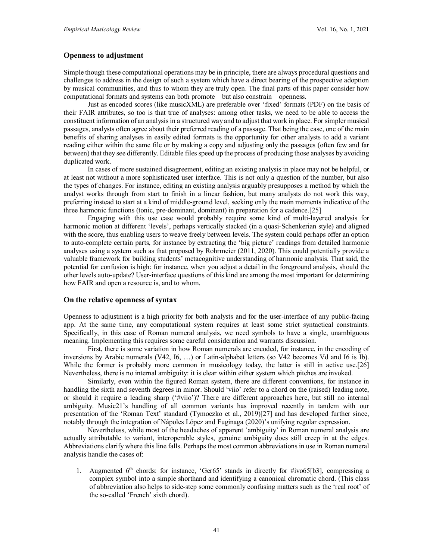### **Openness to adjustment**

Simple though these computational operations may be in principle, there are always procedural questions and challenges to address in the design of such a system which have a direct bearing of the prospective adoption by musical communities, and thus to whom they are truly open. The final parts of this paper consider how computational formats and systems can both promote – but also constrain – openness.

Just as encoded scores (like musicXML) are preferable over 'fixed' formats (PDF) on the basis of their FAIR attributes, so too is that true of analyses: among other tasks, we need to be able to access the constituent information of an analysis in a structured way and to adjust that work in place. For simpler musical passages, analysts often agree about their preferred reading of a passage. That being the case, one of the main benefits of sharing analyses in easily edited formats is the opportunity for other analysts to add a variant reading either within the same file or by making a copy and adjusting only the passages (often few and far between) that they see differently. Editable files speed up the process of producing those analyses by avoiding duplicated work.

In cases of more sustained disagreement, editing an existing analysis in place may not be helpful, or at least not without a more sophisticated user interface. This is not only a question of the number, but also the types of changes. For instance, editing an existing analysis arguably presupposes a method by which the analyst works through from start to finish in a linear fashion, but many analysts do not work this way, preferring instead to start at a kind of middle-ground level, seeking only the main moments indicative of the three harmonic functions (tonic, pre-dominant, dominant) in preparation for a cadence.[25]

Engaging with this use case would probably require some kind of multi-layered analysis for harmonic motion at different 'levels', perhaps vertically stacked (in a quasi-Schenkerian style) and aligned with the score, thus enabling users to weave freely between levels. The system could perhaps offer an option to auto-complete certain parts, for instance by extracting the 'big picture' readings from detailed harmonic analyses using a system such as that proposed by Rohrmeier (2011, 2020). This could potentially provide a valuable framework for building students' metacognitive understanding of harmonic analysis. That said, the potential for confusion is high: for instance, when you adjust a detail in the foreground analysis, should the other levels auto-update? User-interface questions of this kind are among the most important for determining how FAIR and open a resource is, and to whom.

### **On the relative openness of syntax**

Openness to adjustment is a high priority for both analysts and for the user-interface of any public-facing app. At the same time, any computational system requires at least some strict syntactical constraints. Specifically, in this case of Roman numeral analysis, we need symbols to have a single, unambiguous meaning. Implementing this requires some careful consideration and warrants discussion.

First, there is some variation in how Roman numerals are encoded, for instance, in the encoding of inversions by Arabic numerals (V42, I6, …) or Latin-alphabet letters (so V42 becomes Vd and I6 is Ib). While the former is probably more common in musicology today, the latter is still in active use.[26] Nevertheless, there is no internal ambiguity: it is clear within either system which pitches are invoked.

Similarly, even within the figured Roman system, there are different conventions, for instance in handling the sixth and seventh degrees in minor. Should 'viio' refer to a chord on the (raised) leading note, or should it require a leading sharp ('#viio')? There are different approaches here, but still no internal ambiguity. Music21's handling of all common variants has improved recently in tandem with our presentation of the 'Roman Text' standard (Tymoczko et al., 2019)[27] and has developed further since, notably through the integration of Nápoles López and Fuginaga (2020)'s unifying regular expression.

Nevertheless, while most of the headaches of apparent 'ambiguity' in Roman numeral analysis are actually attributable to variant, interoperable styles, genuine ambiguity does still creep in at the edges. Abbreviations clarify where this line falls. Perhaps the most common abbreviations in use in Roman numeral analysis handle the cases of:

1. Augmented  $6<sup>th</sup>$  chords: for instance, 'Ger65' stands in directly for #ivo65[b3], compressing a complex symbol into a simple shorthand and identifying a canonical chromatic chord. (This class of abbreviation also helps to side-step some commonly confusing matters such as the 'real root' of the so-called 'French' sixth chord).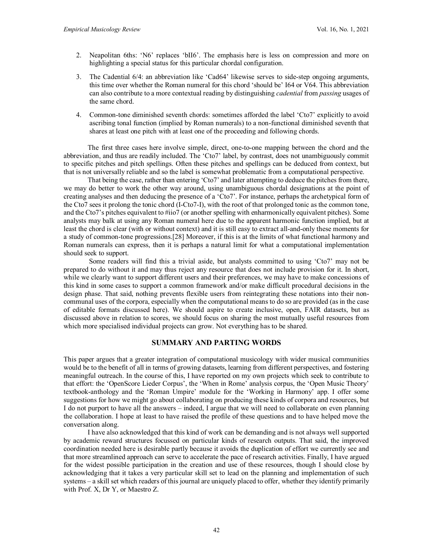- 2. Neapolitan 6ths: 'N6' replaces 'bII6'. The emphasis here is less on compression and more on highlighting a special status for this particular chordal configuration.
- 3. The Cadential 6/4: an abbreviation like 'Cad64' likewise serves to side-step ongoing arguments, this time over whether the Roman numeral for this chord 'should be' I64 or V64. This abbreviation can also contribute to a more contextual reading by distinguishing *cadential* from *passing* usages of the same chord.
- 4. Common-tone diminished seventh chords: sometimes afforded the label 'Cto7' explicitly to avoid ascribing tonal function (implied by Roman numerals) to a non-functional diminished seventh that shares at least one pitch with at least one of the proceeding and following chords.

The first three cases here involve simple, direct, one-to-one mapping between the chord and the abbreviation, and thus are readily included. The 'Cto7' label, by contrast, does not unambiguously commit to specific pitches and pitch spellings. Often these pitches and spellings can be deduced from context, but that is not universally reliable and so the label is somewhat problematic from a computational perspective.

That being the case, rather than entering 'Cto7' and later attempting to deduce the pitches from there, we may do better to work the other way around, using unambiguous chordal designations at the point of creating analyses and then deducing the presence of a 'Cto7'. For instance, perhaps the archetypical form of the Cto7 sees it prolong the tonic chord (I-Cto7-I), with the root of that prolonged tonic as the common tone, and the Cto7's pitches equivalent to #iio7 (or another spelling with enharmonically equivalent pitches). Some analysts may balk at using any Roman numeral here due to the apparent harmonic function implied, but at least the chord is clear (with or without context) and it is still easy to extract all-and-only these moments for a study of common-tone progressions.[28] Moreover, if this is at the limits of what functional harmony and Roman numerals can express, then it is perhaps a natural limit for what a computational implementation should seek to support.

Some readers will find this a trivial aside, but analysts committed to using 'Cto7' may not be prepared to do without it and may thus reject any resource that does not include provision for it. In short, while we clearly want to support different users and their preferences, we may have to make concessions of this kind in some cases to support a common framework and/or make difficult procedural decisions in the design phase. That said, nothing prevents flexible users from reintegrating these notations into their noncommunal uses of the corpora, especially when the computational means to do so are provided (as in the case of editable formats discussed here). We should aspire to create inclusive, open, FAIR datasets, but as discussed above in relation to scores, we should focus on sharing the most mutually useful resources from which more specialised individual projects can grow. Not everything has to be shared.

### **SUMMARY AND PARTING WORDS**

This paper argues that a greater integration of computational musicology with wider musical communities would be to the benefit of all in terms of growing datasets, learning from different perspectives, and fostering meaningful outreach. In the course of this, I have reported on my own projects which seek to contribute to that effort: the 'OpenScore Lieder Corpus', the 'When in Rome' analysis corpus, the 'Open Music Theory' textbook-anthology and the 'Roman Umpire' module for the 'Working in Harmony' app. I offer some suggestions for how we might go about collaborating on producing these kinds of corpora and resources, but I do not purport to have all the answers – indeed, I argue that we will need to collaborate on even planning the collaboration. I hope at least to have raised the profile of these questions and to have helped move the conversation along.

I have also acknowledged that this kind of work can be demanding and is not always well supported by academic reward structures focussed on particular kinds of research outputs. That said, the improved coordination needed here is desirable partly because it avoids the duplication of effort we currently see and that more streamlined approach can serve to accelerate the pace of research activities. Finally, I have argued for the widest possible participation in the creation and use of these resources, though I should close by acknowledging that it takes a very particular skill set to lead on the planning and implementation of such systems – a skill set which readers of this journal are uniquely placed to offer, whether they identify primarily with Prof. X, Dr Y, or Maestro Z.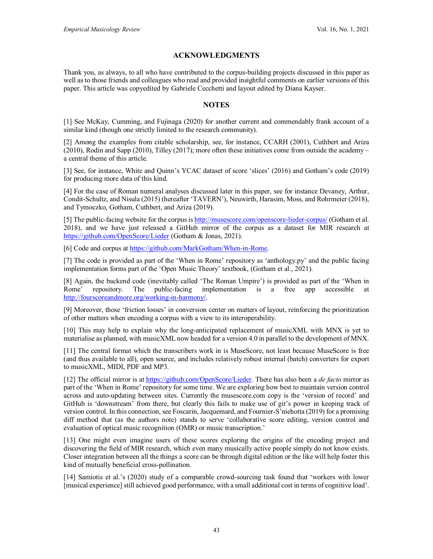# **ACKNOWLEDGMENTS**

Thank you, as always, to all who have contributed to the corpus-building projects discussed in this paper as well as to those friends and colleagues who read and provided insightful comments on earlier versions of this paper. This article was copyedited by Gabriele Cecchetti and layout edited by Diana Kayser.

# **NOTES**

[1] See McKay, Cumming, and Fujinaga (2020) for another current and commendably frank account of a similar kind (though one strictly limited to the research community).

[2] Among the examples from citable scholarship, see, for instance, CCARH (2001), Cuthbert and Ariza (2010), Rodin and Sapp (2010), Tilley (2017); more often these initiatives come from outside the academy – a central theme of this article.

[3] See, for instance, White and Quinn's YCAC dataset of score 'slices' (2016) and Gotham's code (2019) for producing more data of this kind.

[4] For the case of Roman numeral analyses discussed later in this paper, see for instance Devaney, Arthur, Condit-Schultz, and Nisula (2015) (hereafter 'TAVERN'), Neuwirth, Harasim, Moss, and Rohrmeier (2018), and Tymoczko, Gotham, Cuthbert, and Ariza (2019).

[5] The public-facing website for the corpus i[s http://musescore.com/openscore-lieder-corpus/](http://musescore.com/openscore-lieder-corpus/sets) (Gotham et al. 2018), and we have just released a GitHub mirror of the corpus as a dataset for MIR research at <https://github.com/OpenScore/Lieder> (Gotham & Jonas, 2021).

[6] Code and corpus a[t https://github.com/MarkGotham/When-in-Rome.](https://github.com/MarkGotham/When-in-Rome)

[7] The code is provided as part of the 'When in Rome' repository as 'anthology.py' and the public facing implementation forms part of the 'Open Music Theory' textbook, (Gotham et al., 2021).

[8] Again, the backend code (inevitably called 'The Roman Umpire') is provided as part of the 'When in Rome' repository. The public-facing implementation is a free app accessible at [http://fourscoreandmore.org/working-in-harmony/.](http://fourscoreandmore.org/working-in-harmony/)

[9] Moreover, those 'friction losses' in conversion center on matters of layout, reinforcing the prioritization of other matters when encoding a corpus with a view to its interoperability.

[10] This may help to explain why the long-anticipated replacement of musicXML with MNX is yet to materialise as planned, with musicXML now headed for a version 4.0 in parallel to the development of MNX.

[11] The central format which the transcribers work in is MuseScore, not least because MuseScore is free (and thus available to all), open source, and includes relatively robust internal (batch) converters for export to musicXML, MIDI, PDF and MP3.

[12] The official mirror is a[t https://github.com/OpenScore/Lieder.](https://github.com/OpenScore/Lieder) There has also been a *de facto* mirror as part of the 'When in Rome' repository for some time. We are exploring how best to maintain version control across and auto-updating between sites. Currently the musescore.com copy is the 'version of record' and GitHub is 'downstream' from there, but clearly this fails to make use of git's power in keeping track of version control. In this connection, see Foscarin, Jacquemard, and Fournier-S'niehotta (2019) for a promising diff method that (as the authors note) stands to serve 'collaborative score editing, version control and evaluation of optical music recognition (OMR) or music transcription.'

[13] One might even imagine users of these scores exploring the origins of the encoding project and discovering the field of MIR research, which even many musically active people simply do not know exists. Closer integration between all the things a score can be through digital edition or the like will help foster this kind of mutually beneficial cross-pollination.

[14] Samiotis et al.'s (2020) study of a comparable crowd-sourcing task found that 'workers with lower [musical experience] still achieved good performance, with a small additional cost in terms of cognitive load'.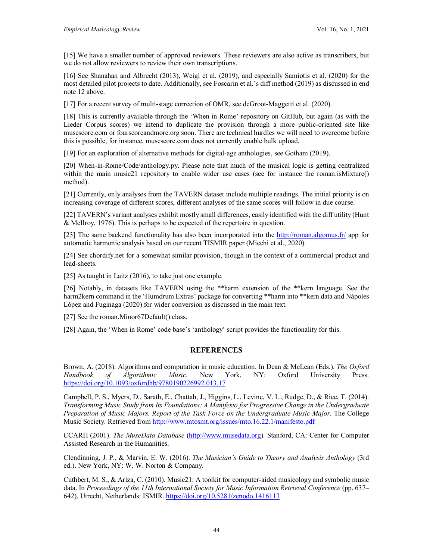[15] We have a smaller number of approved reviewers. These reviewers are also active as transcribers, but we do not allow reviewers to review their own transcriptions.

[16] See Shanahan and Albrecht (2013), Weigl et al. (2019), and especially Samiotis et al. (2020) for the most detailed pilot projects to date. Additionally, see Foscarin et al.'s diff method (2019) as discussed in end note 12 above.

[17] For a recent survey of multi-stage correction of OMR, see deGroot-Maggetti et al. (2020).

[18] This is currently available through the 'When in Rome' repository on GitHub, but again (as with the Lieder Corpus scores) we intend to duplicate the provision through a more public-oriented site like musescore.com or fourscoreandmore.org soon. There are technical hurdles we will need to overcome before this is possible, for instance, musescore.com does not currently enable bulk upload.

[19] For an exploration of alternative methods for digital-age anthologies, see Gotham (2019).

[20] When-in-Rome/Code/anthology.py. Please note that much of the musical logic is getting centralized within the main music21 repository to enable wider use cases (see for instance the roman.isMixture() method).

[21] Currently, only analyses from the TAVERN dataset include multiple readings. The initial priority is on increasing coverage of different scores, different analyses of the same scores will follow in due course.

[22] TAVERN's variant analyses exhibit mostly small differences, easily identified with the diff utility (Hunt & McIlroy, 1976). This is perhaps to be expected of the repertoire in question.

[23] The same backend functionality has also been incorporated into the<http://roman.algomus.fr/> app for automatic harmonic analysis based on our recent TISMIR paper (Micchi et al., 2020).

[24] See chordify.net for a somewhat similar provision, though in the context of a commercial product and lead-sheets.

[25] As taught in Laitz (2016), to take just one example.

[26] Notably, in datasets like TAVERN using the \*\*harm extension of the \*\*kern language. See the harm2kern command in the 'Humdrum Extras' package for converting \*\*harm into \*\*kern data and Nápoles López and Fuginaga (2020) for wider conversion as discussed in the main text.

[27] See the roman.Minor67Default() class.

[28] Again, the 'When in Rome' code base's 'anthology' script provides the functionality for this.

# **REFERENCES**

Brown, A. (2018). Algorithms and computation in music education. In Dean & McLean (Eds.). *The Oxford Handbook of Algorithmic Music*. New York, NY: Oxford University Press. <https://doi.org/10.1093/oxfordhb/9780190226992.013.17>

Campbell, P. S., Myers, D., Sarath, E., Chattah, J., Higgins, L., Levine, V. L., Rudge, D., & Rice, T. (2014). *Transforming Music Study from Its Foundations: A Manifesto for Progressive Change in the Undergraduate Preparation of Music Majors. Report of the Task Force on the Undergraduate Music Major*. The College Music Society. Retrieved from<http://www.mtosmt.org/issues/mto.16.22.1/manifesto.pdf>

CCARH (2001). *The MuseData Database* [\(http://www.musedata.org\)](http://www.musedata.org/). Stanford, CA: Center for Computer Assisted Research in the Humanities.

Clendinning, J. P., & Marvin, E. W. (2016). *The Musician's Guide to Theory and Analysis Anthology* (3rd ed.). New York, NY: W. W. Norton & Company.

Cuthbert, M. S., & Ariza, C. (2010). Music21: A toolkit for computer-aided musicology and symbolic music data. In *Proceedings of the 11th International Society for Music Information Retrieval Conference* (pp. 637– 642), Utrecht, Netherlands: ISMIR. <https://doi.org/10.5281/zenodo.1416113>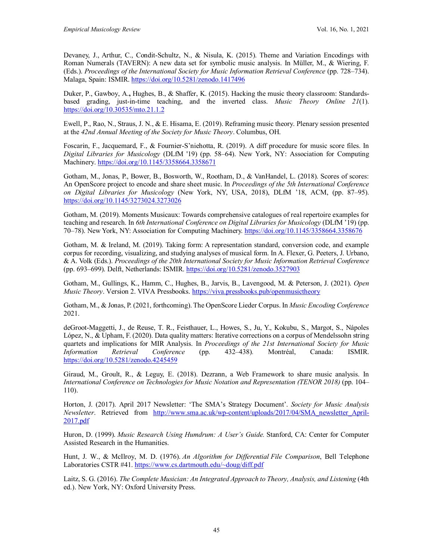Devaney, J., Arthur, C., Condit-Schultz, N., & Nisula, K. (2015). Theme and Variation Encodings with Roman Numerals (TAVERN): A new data set for symbolic music analysis. In Müller, M., & Wiering, F. (Eds.). *Proceedings of the International Society for Music Information Retrieval Conference* (pp. 728–734). Malaga, Spain: ISMIR. <https://doi.org/10.5281/zenodo.1417496>

Duker, P., Gawboy, A.**,** Hughes, B., & Shaffer, K. (2015). Hacking the music theory classroom: Standardsbased grading, just-in-time teaching, and the inverted class. *Music Theory Online 21*(1). <https://doi.org/10.30535/mto.21.1.2>

Ewell, P., Rao, N., Straus, J. N., & E. Hisama, E. (2019). Reframing music theory. Plenary session presented at the *42nd Annual Meeting of the Society for Music Theory*. Columbus, OH.

Foscarin, F., Jacquemard, F., & Fournier-S'niehotta, R. (2019). A diff procedure for music score files. In *Digital Libraries for Musicology* (DLfM '19) (pp. 58–64). New York, NY: Association for Computing Machinery.<https://doi.org/10.1145/3358664.3358671>

Gotham, M., Jonas, P., Bower, B., Bosworth, W., Rootham, D., & VanHandel, L. (2018). Scores of scores: An OpenScore project to encode and share sheet music. In *Proceedings of the 5th International Conference on Digital Libraries for Musicology* (New York, NY, USA, 2018), DLfM '18, ACM, (pp. 87–95). <https://doi.org/10.1145/3273024.3273026>

Gotham, M. (2019). Moments Musicaux: Towards comprehensive catalogues of real repertoire examples for teaching and research. In *6th International Conference on Digital Libraries for Musicology* (DLfM '19) (pp. 70–78). New York, NY: Association for Computing Machinery.<https://doi.org/10.1145/3358664.3358676>

Gotham, M. & Ireland, M. (2019). Taking form: A representation standard, conversion code, and example corpus for recording, visualizing, and studying analyses of musical form. In A. Flexer, G. Peeters, J. Urbano, & A. Volk (Eds.). *Proceedings of the 20th International Society for Music Information Retrieval Conference* (pp. 693–699). Delft, Netherlands: ISMIR.<https://doi.org/10.5281/zenodo.3527903>

Gotham, M., Gullings, K., Hamm, C., Hughes, B., Jarvis, B., Lavengood, M. & Peterson, J. (2021). *Open Music Theory*. Version 2. VIVA Pressbooks.<https://viva.pressbooks.pub/openmusictheory>

Gotham, M., & Jonas, P. (2021, forthcoming). The OpenScore Lieder Corpus. In *Music Encoding Conference* 2021.

deGroot-Maggetti, J., de Reuse, T. R., Feisthauer, L., Howes, S., Ju, Y., Kokubu, S., Margot, S., Nápoles López, N., & Upham, F. (2020). Data quality matters: Iterative corrections on a corpus of Mendelssohn string quartets and implications for MIR Analysis. In *Proceedings of the 21st International Society for Music Information Retrieval Conference* (pp. 432–438)*.* Montréal, Canada: ISMIR. <https://doi.org/10.5281/zenodo.4245459>

Giraud, M., Groult, R., & Leguy, E. (2018). Dezrann, a Web Framework to share music analysis. In *International Conference on Technologies for Music Notation and Representation (TENOR 2018)* (pp. 104– 110).

Horton, J. (2017). April 2017 Newsletter: 'The SMA's Strategy Document'. *Society for Music Analysis Newsletter*. Retrieved from [http://www.sma.ac.uk/wp-content/uploads/2017/04/SMA\\_newsletter\\_April-](http://www.sma.ac.uk/wp-content/uploads/2017/04/SMA_newsletter_April-2017.pdf)[2017.pdf](http://www.sma.ac.uk/wp-content/uploads/2017/04/SMA_newsletter_April-2017.pdf)

Huron, D. (1999). *Music Research Using Humdrum: A User's Guide.* Stanford, CA: Center for Computer Assisted Research in the Humanities.

Hunt, J. W., & McIlroy, M. D. (1976). *An Algorithm for Differential File Comparison*, Bell Telephone Laboratories CSTR #41[. https://www.cs.dartmouth.edu/~doug/diff.pdf](https://www.cs.dartmouth.edu/%7Edoug/diff.pdf)

Laitz, S. G. (2016). *The Complete Musician: An Integrated Approach to Theory, Analysis, and Listening* (4th ed.). New York, NY: Oxford University Press.